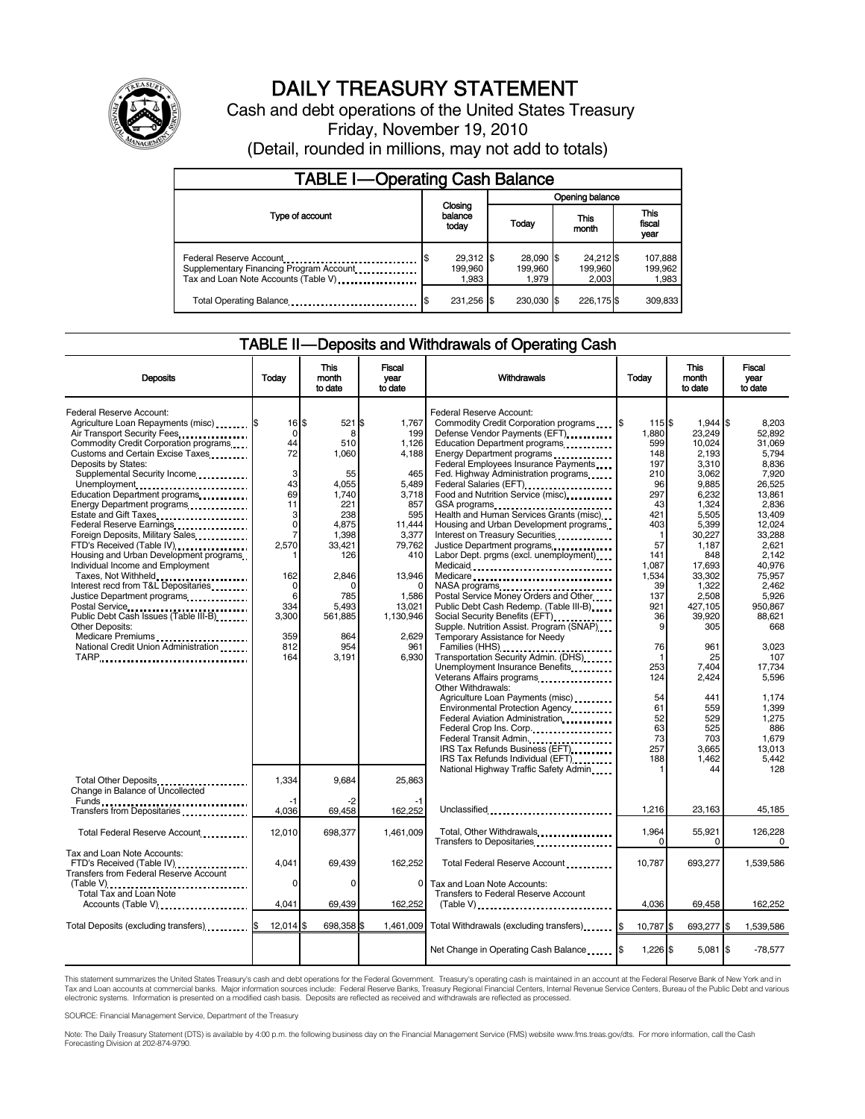

# DAILY TREASURY STATEMENT

Cash and debt operations of the United States Treasury Friday, November 19, 2010 (Detail, rounded in millions, may not add to totals)

| <b>TABLE I-Operating Cash Balance</b>                                                                      |                                      |  |                               |                               |                               |  |  |
|------------------------------------------------------------------------------------------------------------|--------------------------------------|--|-------------------------------|-------------------------------|-------------------------------|--|--|
|                                                                                                            | Opening balance                      |  |                               |                               |                               |  |  |
| Type of account                                                                                            | Closing<br>balance<br>today          |  | Today                         | This<br>month                 | <b>This</b><br>fiscal<br>year |  |  |
| Federal Reserve Account<br>Supplementary Financing Program Account<br>Tax and Loan Note Accounts (Table V) | $29,312$ \$<br>S<br>199.960<br>1.983 |  | 28,090 \$<br>199.960<br>1.979 | 24,212 \$<br>199,960<br>2.003 | 107,888<br>199,962<br>1,983   |  |  |
| Total Operating Balance                                                                                    | 231,256 \$                           |  | 230.030 \$                    | 226.175\$                     | 309.833                       |  |  |

#### TABLE II — Deposits and Withdrawals of Operating Cash

| <b>Deposits</b>                                                                                                                                                                                                                                                                                                                                                                                                                                                                                                                                                                                                                                               | Today                                                                                                                              | This<br>month                                                                                                                                            | Fiscal<br>vear                                                                                                                                      | Withdrawals                                                                                                                                                                                                                                                                                                                                                                                                                                                                                                                                                                                                                                                                           | Today                                                                                                                                      | This<br>month                                                                                                                                                                               | Fiscal<br>year                                                                                                                                                                               |
|---------------------------------------------------------------------------------------------------------------------------------------------------------------------------------------------------------------------------------------------------------------------------------------------------------------------------------------------------------------------------------------------------------------------------------------------------------------------------------------------------------------------------------------------------------------------------------------------------------------------------------------------------------------|------------------------------------------------------------------------------------------------------------------------------------|----------------------------------------------------------------------------------------------------------------------------------------------------------|-----------------------------------------------------------------------------------------------------------------------------------------------------|---------------------------------------------------------------------------------------------------------------------------------------------------------------------------------------------------------------------------------------------------------------------------------------------------------------------------------------------------------------------------------------------------------------------------------------------------------------------------------------------------------------------------------------------------------------------------------------------------------------------------------------------------------------------------------------|--------------------------------------------------------------------------------------------------------------------------------------------|---------------------------------------------------------------------------------------------------------------------------------------------------------------------------------------------|----------------------------------------------------------------------------------------------------------------------------------------------------------------------------------------------|
|                                                                                                                                                                                                                                                                                                                                                                                                                                                                                                                                                                                                                                                               |                                                                                                                                    | to date                                                                                                                                                  | to date                                                                                                                                             |                                                                                                                                                                                                                                                                                                                                                                                                                                                                                                                                                                                                                                                                                       |                                                                                                                                            | to date                                                                                                                                                                                     | to date                                                                                                                                                                                      |
| Federal Reserve Account:<br>Agriculture Loan Repayments (misc) \$<br>Air Transport Security Fees<br>Commodity Credit Corporation programs<br>Customs and Certain Excise Taxes<br>Deposits by States:<br>Supplemental Security Income<br>Unemployment<br>Education Department programs<br>Energy Department programs<br>Estate and Gift Taxes<br>Federal Reserve Earnings<br>Foreign Deposits, Military Sales<br>FTD's Received (Table IV)<br>Housing and Urban Development programs<br>Individual Income and Employment<br>Taxes, Not Withheld<br>Interest recd from T&L Depositaries<br>Justice Department programs<br>Public Debt Cash Issues (Table III-B) | $16$ $\frac{1}{3}$<br>$\mathbf 0$<br>44<br>72<br>3<br>43<br>69<br>11<br>3<br>0<br>7<br>2,570<br>1<br>162<br>0<br>6<br>334<br>3,300 | 521 \$<br>8<br>510<br>1,060<br>55<br>4,055<br>1,740<br>221<br>238<br>4,875<br>1,398<br>33,421<br>126<br>2,846<br><sup>0</sup><br>785<br>5,493<br>561,885 | 1,767<br>199<br>1,126<br>4,188<br>465<br>5,489<br>3,718<br>857<br>595<br>11,444<br>3,377<br>79,762<br>410<br>13,946<br>1,586<br>13,021<br>1,130,946 | Federal Reserve Account:<br>Commodity Credit Corporation programs \6<br>Defense Vendor Payments (EFT)<br>Education Department programs<br>Energy Department programs<br><br>Federal Employees Insurance Payments<br>Fed. Highway Administration programs<br>Federal Salaries (EFT)<br>Food and Nutrition Service (misc)<br>GSA programs<br>Health and Human Services Grants (misc)<br>Housing and Urban Development programs<br>Interest on Treasury Securities<br>Justice Department programs<br>Labor Dept. prgms (excl. unemployment)<br>Medicaid<br>Medicare<br>Postal Service Money Orders and Other<br>Public Debt Cash Redemp. (Table III-B)<br>Social Security Benefits (EFT) | 115 \$<br>1,880<br>599<br>148<br>197<br>210<br>96<br>297<br>43<br>421<br>403<br>1<br>57<br>141<br>1,087<br>1,534<br>39<br>137<br>921<br>36 | $1,944$ \$<br>23,249<br>10,024<br>2,193<br>3,310<br>3,062<br>9,885<br>6,232<br>1,324<br>5,505<br>5,399<br>30,227<br>1,187<br>848<br>17,693<br>33,302<br>1,322<br>2,508<br>427,105<br>39,920 | 8,203<br>52,892<br>31.069<br>5,794<br>8,836<br>7,920<br>26,525<br>13,861<br>2.836<br>13,409<br>12,024<br>33,288<br>2.621<br>2,142<br>40,976<br>75,957<br>2.462<br>5,926<br>950,867<br>88,621 |
| Other Deposits:<br>Medicare Premiums<br>National Credit Union Administration<br>TARP                                                                                                                                                                                                                                                                                                                                                                                                                                                                                                                                                                          | 359<br>812<br>164                                                                                                                  | 864<br>954<br>3,191                                                                                                                                      | 2.629<br>961<br>6,930                                                                                                                               | Supple. Nutrition Assist. Program (SNAP)<br>Temporary Assistance for Needy<br>Families (HHS)<br>Transportation Security Admin. (DHS)<br>Unemployment Insurance Benefits<br>Veterans Affairs programs<br>x<br>Other Withdrawals:<br>Agriculture Loan Payments (misc)<br>Environmental Protection Agency<br>Federal Aviation Administration<br>Federal Crop Ins. Corp.<br>Federal Transit Admin.<br>IRS Tax Refunds Business (EFT)<br>IRS Tax Refunds Individual (EFT)                                                                                                                                                                                                                  | 9<br>76<br>1<br>253<br>124<br>54<br>61<br>52<br>63<br>73<br>257<br>188                                                                     | 305<br>961<br>25<br>7,404<br>2,424<br>441<br>559<br>529<br>525<br>703<br>3,665<br>1,462                                                                                                     | 668<br>3.023<br>107<br>17,734<br>5,596<br>1,174<br>1,399<br>1,275<br>886<br>1.679<br>13,013<br>5,442                                                                                         |
| Total Other Deposits<br>Change in Balance of Uncollected                                                                                                                                                                                                                                                                                                                                                                                                                                                                                                                                                                                                      | 1,334<br>-1                                                                                                                        | 9.684<br>-2                                                                                                                                              | 25.863                                                                                                                                              | National Highway Traffic Safety Admin                                                                                                                                                                                                                                                                                                                                                                                                                                                                                                                                                                                                                                                 |                                                                                                                                            | 44                                                                                                                                                                                          | 128                                                                                                                                                                                          |
| Transfers from Depositaries                                                                                                                                                                                                                                                                                                                                                                                                                                                                                                                                                                                                                                   | 4,036                                                                                                                              | 69,458                                                                                                                                                   | 162,252                                                                                                                                             | Unclassified                                                                                                                                                                                                                                                                                                                                                                                                                                                                                                                                                                                                                                                                          | 1,216                                                                                                                                      | 23,163                                                                                                                                                                                      | 45,185                                                                                                                                                                                       |
| Total Federal Reserve Account                                                                                                                                                                                                                                                                                                                                                                                                                                                                                                                                                                                                                                 | 12,010                                                                                                                             | 698,377                                                                                                                                                  | 1.461.009                                                                                                                                           | Total, Other Withdrawals<br>Transfers to Depositaries                                                                                                                                                                                                                                                                                                                                                                                                                                                                                                                                                                                                                                 | 1.964<br>$\Omega$                                                                                                                          | 55.921<br>0                                                                                                                                                                                 | 126,228<br>0                                                                                                                                                                                 |
| Tax and Loan Note Accounts:<br>FTD's Received (Table IV)<br><b>Transfers from Federal Reserve Account</b>                                                                                                                                                                                                                                                                                                                                                                                                                                                                                                                                                     | 4,041<br>0                                                                                                                         | 69,439<br>$\Omega$                                                                                                                                       | 162,252<br>$\Omega$                                                                                                                                 | Total Federal Reserve Account<br>Tax and Loan Note Accounts:                                                                                                                                                                                                                                                                                                                                                                                                                                                                                                                                                                                                                          | 10,787                                                                                                                                     | 693,277                                                                                                                                                                                     | 1,539,586                                                                                                                                                                                    |
| (Table V)<br>Total Tax and Loan Note<br>Accounts (Table V)                                                                                                                                                                                                                                                                                                                                                                                                                                                                                                                                                                                                    | 4,041                                                                                                                              | 69,439                                                                                                                                                   | 162,252                                                                                                                                             | <b>Transfers to Federal Reserve Account</b>                                                                                                                                                                                                                                                                                                                                                                                                                                                                                                                                                                                                                                           | 4,036                                                                                                                                      | 69,458                                                                                                                                                                                      | 162,252                                                                                                                                                                                      |
| Total Deposits (excluding transfers) <b>SENS</b>                                                                                                                                                                                                                                                                                                                                                                                                                                                                                                                                                                                                              | $12.014$ S                                                                                                                         | 698,358 \$                                                                                                                                               | 1.461.009                                                                                                                                           | Total Withdrawals (excluding transfers) [ \$                                                                                                                                                                                                                                                                                                                                                                                                                                                                                                                                                                                                                                          | 10,787 \$                                                                                                                                  | 693,277 \$                                                                                                                                                                                  | 1,539,586                                                                                                                                                                                    |
|                                                                                                                                                                                                                                                                                                                                                                                                                                                                                                                                                                                                                                                               |                                                                                                                                    |                                                                                                                                                          |                                                                                                                                                     | Net Change in Operating Cash Balance                                                                                                                                                                                                                                                                                                                                                                                                                                                                                                                                                                                                                                                  | 1,226 \$                                                                                                                                   | $5,081$ \$                                                                                                                                                                                  | $-78,577$                                                                                                                                                                                    |

This statement summarizes the United States Treasury's cash and debt operations for the Federal Government. Treasury's operating cash is maintained in an account at the Federal Reserve Bank of New York and in<br>Tax and Loan

SOURCE: Financial Management Service, Department of the Treasury

Note: The Daily Treasury Statement (DTS) is available by 4:00 p.m. the following business day on the Financial Management Service (FMS) website www.fms.treas.gov/dts. For more information, call the Cash Forecasting Division at 202-874-9790.